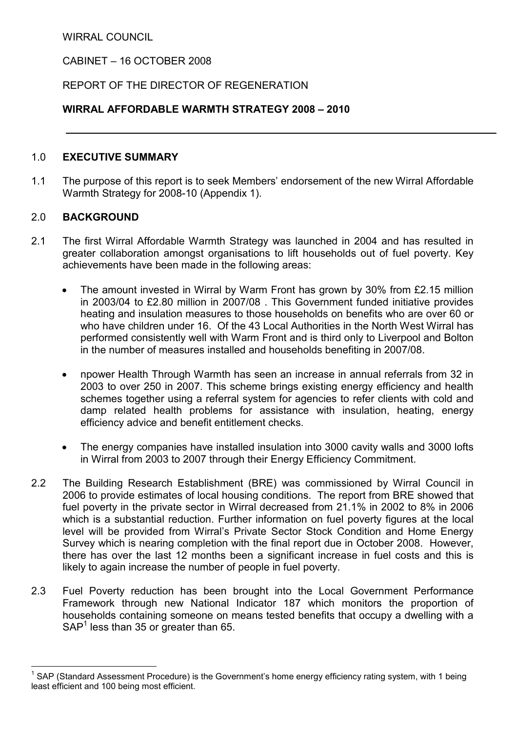WIRRAL COUNCIL

CABINET – 16 OCTOBER 2008

# REPORT OF THE DIRECTOR OF REGENERATION

## WIRRAL AFFORDABLE WARMTH STRATEGY 2008 – 2010

### 1.0 EXECUTIVE SUMMARY

1.1 The purpose of this report is to seek Members' endorsement of the new Wirral Affordable Warmth Strategy for 2008-10 (Appendix 1).

### 2.0 BACKGROUND

- 2.1 The first Wirral Affordable Warmth Strategy was launched in 2004 and has resulted in greater collaboration amongst organisations to lift households out of fuel poverty. Key achievements have been made in the following areas:
	- The amount invested in Wirral by Warm Front has grown by 30% from £2.15 million in 2003/04 to £2.80 million in 2007/08 . This Government funded initiative provides heating and insulation measures to those households on benefits who are over 60 or who have children under 16. Of the 43 Local Authorities in the North West Wirral has performed consistently well with Warm Front and is third only to Liverpool and Bolton in the number of measures installed and households benefiting in 2007/08.
	- npower Health Through Warmth has seen an increase in annual referrals from 32 in 2003 to over 250 in 2007. This scheme brings existing energy efficiency and health schemes together using a referral system for agencies to refer clients with cold and damp related health problems for assistance with insulation, heating, energy efficiency advice and benefit entitlement checks.
	- The energy companies have installed insulation into 3000 cavity walls and 3000 lofts in Wirral from 2003 to 2007 through their Energy Efficiency Commitment.
- 2.2 The Building Research Establishment (BRE) was commissioned by Wirral Council in 2006 to provide estimates of local housing conditions. The report from BRE showed that fuel poverty in the private sector in Wirral decreased from 21.1% in 2002 to 8% in 2006 which is a substantial reduction. Further information on fuel poverty figures at the local level will be provided from Wirral's Private Sector Stock Condition and Home Energy Survey which is nearing completion with the final report due in October 2008. However, there has over the last 12 months been a significant increase in fuel costs and this is likely to again increase the number of people in fuel poverty.
- 2.3 Fuel Poverty reduction has been brought into the Local Government Performance Framework through new National Indicator 187 which monitors the proportion of households containing someone on means tested benefits that occupy a dwelling with a  $SAP<sup>1</sup>$  less than 35 or greater than 65.

 $\overline{a}$ <sup>1</sup> SAP (Standard Assessment Procedure) is the Government's home energy efficiency rating system, with 1 being least efficient and 100 being most efficient.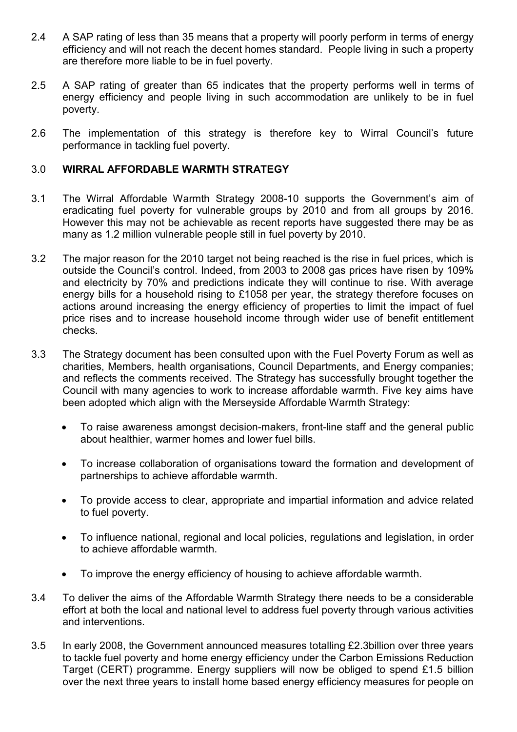- 2.4 A SAP rating of less than 35 means that a property will poorly perform in terms of energy efficiency and will not reach the decent homes standard. People living in such a property are therefore more liable to be in fuel poverty.
- 2.5 A SAP rating of greater than 65 indicates that the property performs well in terms of energy efficiency and people living in such accommodation are unlikely to be in fuel poverty.
- 2.6 The implementation of this strategy is therefore key to Wirral Council's future performance in tackling fuel poverty.

### 3.0 WIRRAL AFFORDABLE WARMTH STRATEGY

- 3.1 The Wirral Affordable Warmth Strategy 2008-10 supports the Government's aim of eradicating fuel poverty for vulnerable groups by 2010 and from all groups by 2016. However this may not be achievable as recent reports have suggested there may be as many as 1.2 million vulnerable people still in fuel poverty by 2010.
- 3.2 The major reason for the 2010 target not being reached is the rise in fuel prices, which is outside the Council's control. Indeed, from 2003 to 2008 gas prices have risen by 109% and electricity by 70% and predictions indicate they will continue to rise. With average energy bills for a household rising to £1058 per year, the strategy therefore focuses on actions around increasing the energy efficiency of properties to limit the impact of fuel price rises and to increase household income through wider use of benefit entitlement checks.
- 3.3 The Strategy document has been consulted upon with the Fuel Poverty Forum as well as charities, Members, health organisations, Council Departments, and Energy companies; and reflects the comments received. The Strategy has successfully brought together the Council with many agencies to work to increase affordable warmth. Five key aims have been adopted which align with the Merseyside Affordable Warmth Strategy:
	- To raise awareness amongst decision-makers, front-line staff and the general public about healthier, warmer homes and lower fuel bills.
	- To increase collaboration of organisations toward the formation and development of partnerships to achieve affordable warmth.
	- To provide access to clear, appropriate and impartial information and advice related to fuel poverty.
	- To influence national, regional and local policies, regulations and legislation, in order to achieve affordable warmth.
	- To improve the energy efficiency of housing to achieve affordable warmth.
- 3.4 To deliver the aims of the Affordable Warmth Strategy there needs to be a considerable effort at both the local and national level to address fuel poverty through various activities and interventions.
- 3.5 In early 2008, the Government announced measures totalling £2.3billion over three years to tackle fuel poverty and home energy efficiency under the Carbon Emissions Reduction Target (CERT) programme. Energy suppliers will now be obliged to spend £1.5 billion over the next three years to install home based energy efficiency measures for people on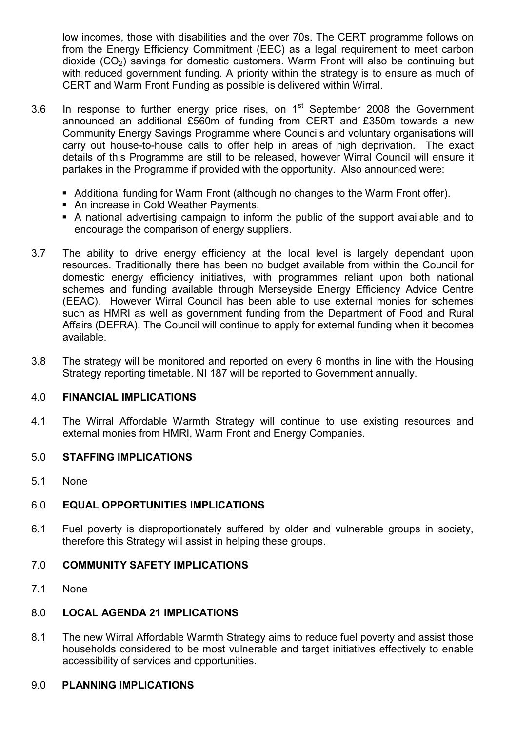low incomes, those with disabilities and the over 70s. The CERT programme follows on from the Energy Efficiency Commitment (EEC) as a legal requirement to meet carbon dioxide  $(CO<sub>2</sub>)$  savings for domestic customers. Warm Front will also be continuing but with reduced government funding. A priority within the strategy is to ensure as much of CERT and Warm Front Funding as possible is delivered within Wirral.

- 3.6 In response to further energy price rises, on  $1<sup>st</sup>$  September 2008 the Government announced an additional £560m of funding from CERT and £350m towards a new Community Energy Savings Programme where Councils and voluntary organisations will carry out house-to-house calls to offer help in areas of high deprivation. The exact details of this Programme are still to be released, however Wirral Council will ensure it partakes in the Programme if provided with the opportunity. Also announced were:
	- Additional funding for Warm Front (although no changes to the Warm Front offer).
	- An increase in Cold Weather Payments.
	- § A national advertising campaign to inform the public of the support available and to encourage the comparison of energy suppliers.
- 3.7 The ability to drive energy efficiency at the local level is largely dependant upon resources. Traditionally there has been no budget available from within the Council for domestic energy efficiency initiatives, with programmes reliant upon both national schemes and funding available through Merseyside Energy Efficiency Advice Centre (EEAC). However Wirral Council has been able to use external monies for schemes such as HMRI as well as government funding from the Department of Food and Rural Affairs (DEFRA). The Council will continue to apply for external funding when it becomes available.
- 3.8 The strategy will be monitored and reported on every 6 months in line with the Housing Strategy reporting timetable. NI 187 will be reported to Government annually.

### 4.0 FINANCIAL IMPLICATIONS

4.1 The Wirral Affordable Warmth Strategy will continue to use existing resources and external monies from HMRI, Warm Front and Energy Companies.

### 5.0 STAFFING IMPLICATIONS

5.1 None

### 6.0 EQUAL OPPORTUNITIES IMPLICATIONS

6.1 Fuel poverty is disproportionately suffered by older and vulnerable groups in society, therefore this Strategy will assist in helping these groups.

#### 7.0 COMMUNITY SAFETY IMPLICATIONS

7.1 None

### 8.0 LOCAL AGENDA 21 IMPLICATIONS

8.1 The new Wirral Affordable Warmth Strategy aims to reduce fuel poverty and assist those households considered to be most vulnerable and target initiatives effectively to enable accessibility of services and opportunities.

#### 9.0 PLANNING IMPLICATIONS